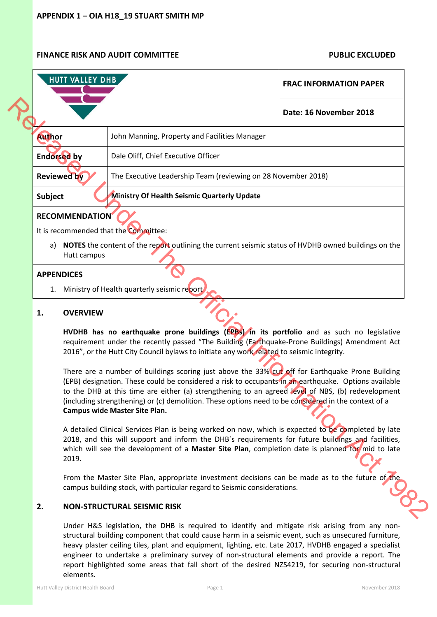| <b>HUTT VALLEY DHB</b>                                                                                                                                                                                                                                                                                                                                                                                                                                                                                                                                                                                                                                                                                                                                                                                                                                                                                                                                                                                                                                                                                        |                                                                                                                                                                             | <b>FRAC INFORMATION PAPER</b> |  |  |  |
|---------------------------------------------------------------------------------------------------------------------------------------------------------------------------------------------------------------------------------------------------------------------------------------------------------------------------------------------------------------------------------------------------------------------------------------------------------------------------------------------------------------------------------------------------------------------------------------------------------------------------------------------------------------------------------------------------------------------------------------------------------------------------------------------------------------------------------------------------------------------------------------------------------------------------------------------------------------------------------------------------------------------------------------------------------------------------------------------------------------|-----------------------------------------------------------------------------------------------------------------------------------------------------------------------------|-------------------------------|--|--|--|
|                                                                                                                                                                                                                                                                                                                                                                                                                                                                                                                                                                                                                                                                                                                                                                                                                                                                                                                                                                                                                                                                                                               |                                                                                                                                                                             | Date: 16 November 2018        |  |  |  |
| Author                                                                                                                                                                                                                                                                                                                                                                                                                                                                                                                                                                                                                                                                                                                                                                                                                                                                                                                                                                                                                                                                                                        | John Manning, Property and Facilities Manager                                                                                                                               |                               |  |  |  |
| <b>Endorsed by</b>                                                                                                                                                                                                                                                                                                                                                                                                                                                                                                                                                                                                                                                                                                                                                                                                                                                                                                                                                                                                                                                                                            | Dale Oliff, Chief Executive Officer                                                                                                                                         |                               |  |  |  |
| <b>Reviewed by</b>                                                                                                                                                                                                                                                                                                                                                                                                                                                                                                                                                                                                                                                                                                                                                                                                                                                                                                                                                                                                                                                                                            | The Executive Leadership Team (reviewing on 28 November 2018)                                                                                                               |                               |  |  |  |
| <b>Subject</b>                                                                                                                                                                                                                                                                                                                                                                                                                                                                                                                                                                                                                                                                                                                                                                                                                                                                                                                                                                                                                                                                                                | Ministry Of Health Seismic Quarterly Update                                                                                                                                 |                               |  |  |  |
| <b>RECOMMENDATION</b><br>It is recommended that the Committee:<br>Hutt campus                                                                                                                                                                                                                                                                                                                                                                                                                                                                                                                                                                                                                                                                                                                                                                                                                                                                                                                                                                                                                                 | a) NOTES the content of the report outlining the current seismic status of HVDHB owned buildings on the                                                                     |                               |  |  |  |
| <b>APPENDICES</b><br>1.                                                                                                                                                                                                                                                                                                                                                                                                                                                                                                                                                                                                                                                                                                                                                                                                                                                                                                                                                                                                                                                                                       | Ministry of Health quarterly seismic report                                                                                                                                 |                               |  |  |  |
| <b>OVERVIEW</b><br>1.<br>HVDHB has no earthquake prone buildings (EPBs) in its portfolio and as such no legislative<br>requirement under the recently passed "The Building (Earthquake-Prone Buildings) Amendment Act<br>2016", or the Hutt City Council bylaws to initiate any work related to seismic integrity.<br>There are a number of buildings scoring just above the 33% cut off for Earthquake Prone Building<br>(EPB) designation. These could be considered a risk to occupants in an earthquake. Options available<br>to the DHB at this time are either (a) strengthening to an agreed level of NBS, (b) redevelopment<br>(including strengthening) or (c) demolition. These options need to be considered in the context of a<br><b>Campus wide Master Site Plan.</b><br>A detailed Clinical Services Plan is being worked on now, which is expected to be completed by late<br>2018, and this will support and inform the DHB's requirements for future buildings and facilities,<br>which will see the development of a Master Site Plan, completion date is planned for mid to late<br>2019. |                                                                                                                                                                             |                               |  |  |  |
|                                                                                                                                                                                                                                                                                                                                                                                                                                                                                                                                                                                                                                                                                                                                                                                                                                                                                                                                                                                                                                                                                                               | From the Master Site Plan, appropriate investment decisions can be made as to the future of the<br>campus building stock, with particular regard to Seismic considerations. |                               |  |  |  |
| 2.                                                                                                                                                                                                                                                                                                                                                                                                                                                                                                                                                                                                                                                                                                                                                                                                                                                                                                                                                                                                                                                                                                            | <b>NON-STRUCTURAL SEISMIC RISK</b>                                                                                                                                          |                               |  |  |  |

### **1. OVERVIEW**

### **2. NON-STRUCTURAL SEISMIC RISK**

Under H&S legislation, the DHB is required to identify and mitigate risk arising from any nonstructural building component that could cause harm in a seismic event, such as unsecured furniture, heavy plaster ceiling tiles, plant and equipment, lighting, etc. Late 2017, HVDHB engaged a specialist engineer to undertake a preliminary survey of non-structural elements and provide a report. The report highlighted some areas that fall short of the desired NZS4219, for securing non-structural elements.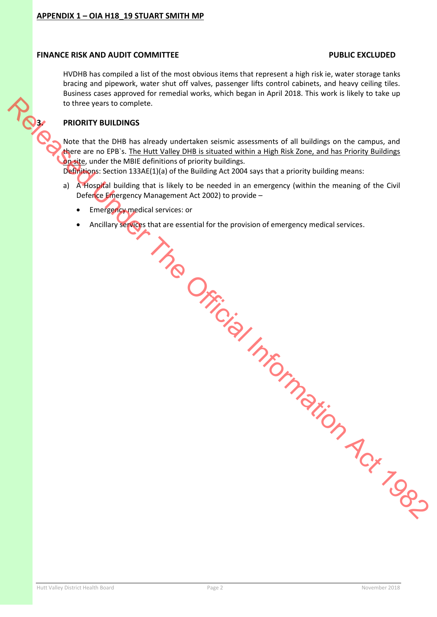HVDHB has compiled a list of the most obvious items that represent a high risk ie, water storage tanks bracing and pipework, water shut off valves, passenger lifts control cabinets, and heavy ceiling tiles. Business cases approved for remedial works, which began in April 2018. This work is likely to take up to three years to complete. **BOOK TO UNITED BUILDINGS** 

Note that the DHB has already undertaken seismic assessments of all buildings on the campus, and there are no EPB`s. The Hutt Valley DHB is situated within a High Risk Zone, and has Priority Buildings on site, under the MBIE definitions of priority buildings.

Definitions: Section 133AE(1)(a) of the Building Act 2004 says that a priority building means:

- a) A Hospital building that is likely to be needed in an emergency (within the meaning of the Civil Defence Emergency Management Act 2002) to provide –
	- **Emergency medical services: or**
	- Ancillary services that are essential for the provision of emergency medical services. Released Unitidial Information Act 1982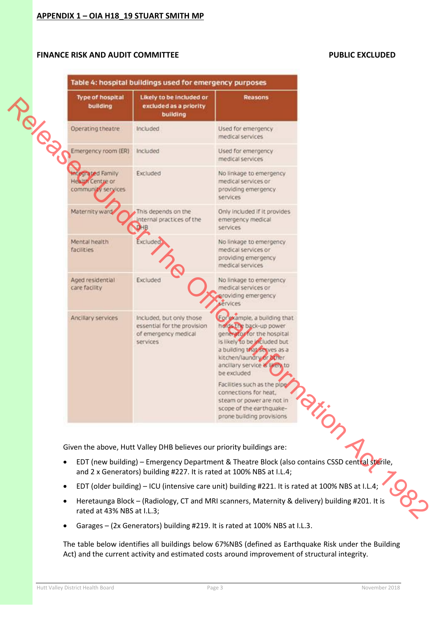| building                                                                  | Likely to be included or<br>excluded as a priority<br>building                              | Reasons                                                                                                                                                                                                                         |  |
|---------------------------------------------------------------------------|---------------------------------------------------------------------------------------------|---------------------------------------------------------------------------------------------------------------------------------------------------------------------------------------------------------------------------------|--|
| Operating theatre                                                         | Included                                                                                    | Used for emergency<br>medical services                                                                                                                                                                                          |  |
| Emergency room (ER)                                                       | Included                                                                                    | Used for emergency<br>medical services                                                                                                                                                                                          |  |
| <b>Integrated Family</b><br><b>Health Centre or</b><br>community services | Excluded                                                                                    | No linkage to emergency<br>medical services or<br>providing emergency.<br>services                                                                                                                                              |  |
| Maternity ward                                                            | This depends on the<br>internal practices of the                                            | Only included if it provides<br>emergency medical<br>services.                                                                                                                                                                  |  |
| Mental health<br>facilities                                               | Excluded                                                                                    | No linkage to emergency<br>medical services or<br>providing emergency<br>medical services                                                                                                                                       |  |
| Aged residential<br>care facility                                         | Excluded                                                                                    | No linkage to emergency<br>medical services or<br>providing emergency<br>services                                                                                                                                               |  |
| Ancillary services                                                        | Included, but only those<br>essential for the provision<br>of emergency medical<br>services | Eoriekample, a building that<br>holds the back-up power<br>gene you for the hospital<br>is likely to be included but<br>a building that serves as a<br>kitchen/laundry or Xner<br>ancillary service & likely to<br>be excluded. |  |
|                                                                           |                                                                                             | Facilities such as the pipe<br>connections for heat,<br>steam or power are not in<br>scope of the earthquake-<br>prone building provisions                                                                                      |  |
|                                                                           | Given the above, Hutt Valley DHB believes our priority buildings are:                       |                                                                                                                                                                                                                                 |  |
|                                                                           | and 2 x Generators) building #227. It is rated at 100% NBS at I.L.4;                        | EDT (new building) - Emergency Department & Theatre Block (also contains CSSD central sterile,                                                                                                                                  |  |
|                                                                           |                                                                                             | EDT (older building) - ICU (intensive care unit) building #221. It is rated at 100% NBS at I.L.4;                                                                                                                               |  |

- EDT (new building) Emergency Department & Theatre Block (also contains CSSD central sterile, and 2 x Generators) building #227. It is rated at 100% NBS at I.L.4;
- EDT (older building) ICU (intensive care unit) building #221. It is rated at 100% NBS at I.L.4;
- Heretaunga Block (Radiology, CT and MRI scanners, Maternity & delivery) building #201. It is rated at 43% NBS at I.L.3;
- Garages (2x Generators) building #219. It is rated at 100% NBS at I.L.3.

The table below identifies all buildings below 67%NBS (defined as Earthquake Risk under the Building Act) and the current activity and estimated costs around improvement of structural integrity.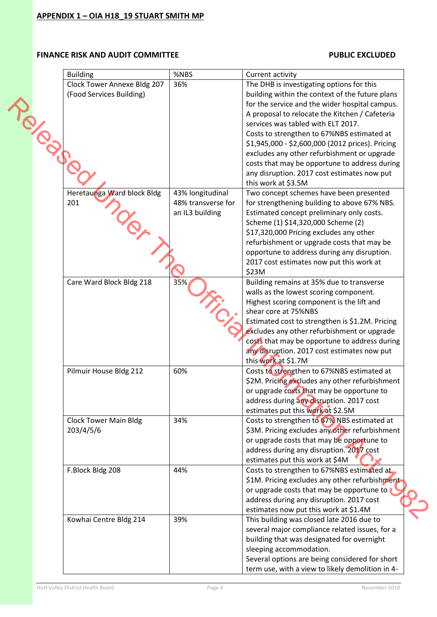|                | <b>Building</b>                                                | %NBS                                                      | Current activity                                                                                                                                                                                                                                                                                                                                                                  |  |
|----------------|----------------------------------------------------------------|-----------------------------------------------------------|-----------------------------------------------------------------------------------------------------------------------------------------------------------------------------------------------------------------------------------------------------------------------------------------------------------------------------------------------------------------------------------|--|
| <b>PRODUCT</b> | <b>Clock Tower Annexe Bldg 207</b><br>(Food Services Building) | 36%                                                       | The DHB is investigating options for this<br>building within the context of the future plans<br>for the service and the wider hospital campus.<br>A proposal to relocate the Kitchen / Cafeteria<br>services was tabled with ELT 2017.<br>Costs to strengthen to 67%NBS estimated at<br>\$1,945,000 - \$2,600,000 (2012 prices). Pricing                                          |  |
|                |                                                                |                                                           | excludes any other refurbishment or upgrade<br>costs that may be opportune to address during<br>any disruption. 2017 cost estimates now put<br>this work at \$3.5M                                                                                                                                                                                                                |  |
|                | Heretaunga Ward block Bldg<br>201                              | 43% longitudinal<br>48% transverse for<br>an IL3 building | Two concept schemes have been presented<br>for strengthening building to above 67% NBS.<br>Estimated concept preliminary only costs.<br>Scheme (1) \$14,320,000 Scheme (2)<br>\$17,320,000 Pricing excludes any other<br>refurbishment or upgrade costs that may be<br>opportune to address during any disruption.<br>2017 cost estimates now put this work at<br>\$23M           |  |
|                | Care Ward Block Bldg 218                                       | 35%                                                       | Building remains at 35% due to transverse<br>walls as the lowest scoring component.<br>Highest scoring component is the lift and<br>shear core at 75%NBS<br>Estimated cost to strengthen is \$1.2M. Pricing<br>excludes any other refurbishment or upgrade<br>costs that may be opportune to address during<br>any disruption. 2017 cost estimates now put<br>this work at \$1.7M |  |
|                | Pilmuir House Bldg 212                                         | 60%                                                       | Costs to strengthen to 67%NBS estimated at<br>\$2M. Pricing excludes any other refurbishment<br>or upgrade costs that may be opportune to<br>address during any disruption. 2017 cost<br>estimates put this work at \$2.5M                                                                                                                                                        |  |
|                | <b>Clock Tower Main Bldg</b><br>203/4/5/6                      | 34%                                                       | Costs to strengthen to 67% NBS estimated at<br>\$3M. Pricing excludes any other refurbishment<br>or upgrade costs that may be opportune to<br>address during any disruption. 2017 cost<br>estimates put this work at \$4M                                                                                                                                                         |  |
|                | F.Block Bldg 208                                               | 44%                                                       | Costs to strengthen to 67%NBS estimated at<br>\$1M. Pricing excludes any other refurbishment<br>or upgrade costs that may be opportune to<br>address during any disruption. 2017 cost<br>estimates now put this work at \$1.4M                                                                                                                                                    |  |
|                | Kowhai Centre Bldg 214                                         | 39%                                                       | This building was closed late 2016 due to<br>several major compliance related issues, for a<br>building that was designated for overnight<br>sleeping accommodation.<br>Several options are being considered for short<br>term use, with a view to likely demolition in 4-                                                                                                        |  |